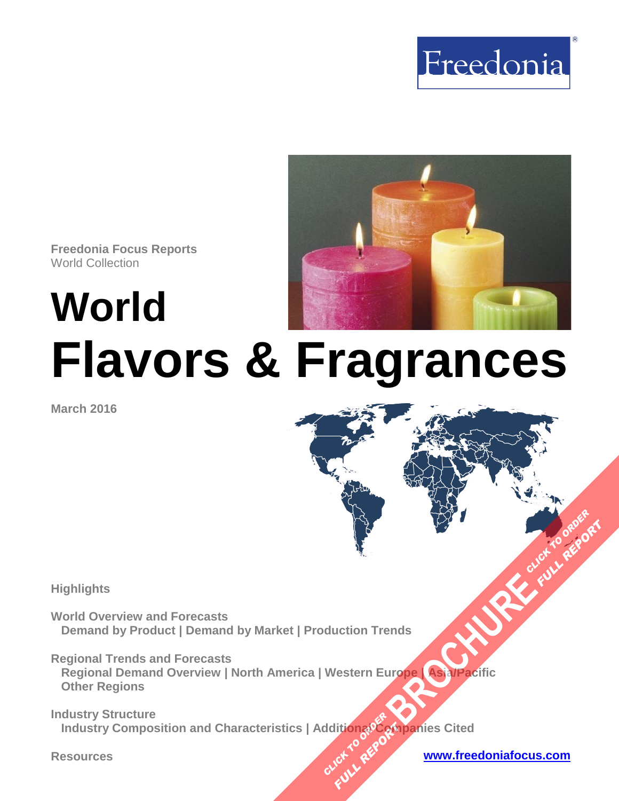

**Freedonia Focus Reports** World Collection

# **World Flavors & Fragrances**

**March 2016**

**Highlights** 

**World Overview and Forecasts Demand by Product | Demand by Market | Production Trends** 

**Regional Trends and Forecasts Regional Demand Overview | North America | Western Europe | Asia/Pacific Other Regions [BROCHURE](http://www.freedoniagroup.com/FocusDetails.aspx?ReferrerId=FM-FocusBro&ReportID=FW35020) CLICK TO ORDER**<br>BROCHURE CLICK TO ORDER

**Industry Structure Industry Composition and Characteristics | Additional Companies Cited CLICK TO REPORT FULL REPORT** 



**FULL REP**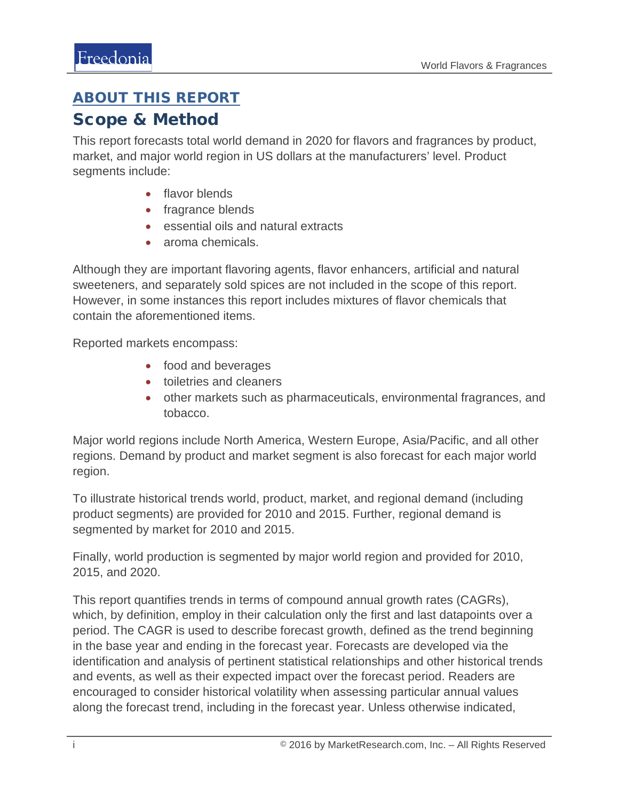#### <span id="page-1-0"></span>ABOUT THIS REPORT

#### Scope & Method

This report forecasts total world demand in 2020 for flavors and fragrances by product, market, and major world region in US dollars at the manufacturers' level. Product segments include:

- flavor blends
- fragrance blends
- essential oils and natural extracts
- aroma chemicals.

Although they are important flavoring agents, flavor enhancers, artificial and natural sweeteners, and separately sold spices are not included in the scope of this report. However, in some instances this report includes mixtures of flavor chemicals that contain the aforementioned items.

Reported markets encompass:

- food and beverages
- toiletries and cleaners
- other markets such as pharmaceuticals, environmental fragrances, and tobacco.

Major world regions include North America, Western Europe, Asia/Pacific, and all other regions. Demand by product and market segment is also forecast for each major world region.

To illustrate historical trends world, product, market, and regional demand (including product segments) are provided for 2010 and 2015. Further, regional demand is segmented by market for 2010 and 2015.

Finally, world production is segmented by major world region and provided for 2010, 2015, and 2020.

This report quantifies trends in terms of compound annual growth rates (CAGRs), which, by definition, employ in their calculation only the first and last datapoints over a period. The CAGR is used to describe forecast growth, defined as the trend beginning in the base year and ending in the forecast year. Forecasts are developed via the identification and analysis of pertinent statistical relationships and other historical trends and events, as well as their expected impact over the forecast period. Readers are encouraged to consider historical volatility when assessing particular annual values along the forecast trend, including in the forecast year. Unless otherwise indicated,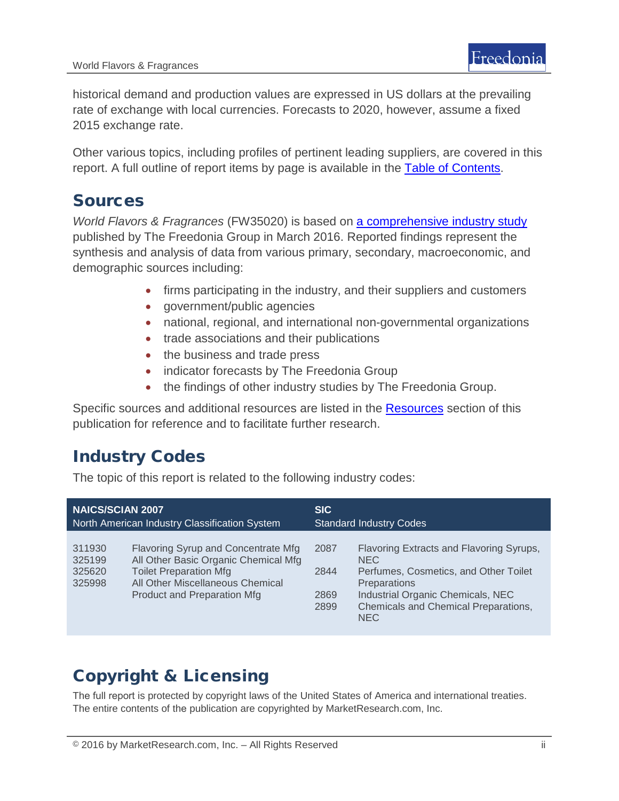historical demand and production values are expressed in US dollars at the prevailing rate of exchange with local currencies. Forecasts to 2020, however, assume a fixed 2015 exchange rate.

Other various topics, including profiles of pertinent leading suppliers, are covered in this report. A full outline of report items by page is available in the [Table of Contents.](#page-3-0)

### Sources

*World Flavors & Fragrances* (FW35020) is based on [a comprehensive industry study](http://www.freedoniagroup.com/DocumentDetails.aspx?ReferrerId=FL-FOCUS&studyid=3397) published by The Freedonia Group in March 2016. Reported findings represent the synthesis and analysis of data from various primary, secondary, macroeconomic, and demographic sources including:

- firms participating in the industry, and their suppliers and customers
- government/public agencies
- national, regional, and international non-governmental organizations
- trade associations and their publications
- the business and trade press
- indicator forecasts by The Freedonia Group
- the findings of other industry studies by The Freedonia Group.

Specific sources and additional resources are listed in the [Resources](#page-4-0) section of this publication for reference and to facilitate further research.

## Industry Codes

The topic of this report is related to the following industry codes:

| <b>NAICS/SCIAN 2007</b>                       |                                                                                                                                                                                 | <b>SIC</b>                     |                                                                                                                                                                                                             |
|-----------------------------------------------|---------------------------------------------------------------------------------------------------------------------------------------------------------------------------------|--------------------------------|-------------------------------------------------------------------------------------------------------------------------------------------------------------------------------------------------------------|
| North American Industry Classification System |                                                                                                                                                                                 | <b>Standard Industry Codes</b> |                                                                                                                                                                                                             |
| 311930<br>325199<br>325620<br>325998          | Flavoring Syrup and Concentrate Mfg<br>All Other Basic Organic Chemical Mfg<br><b>Toilet Preparation Mfg</b><br>All Other Miscellaneous Chemical<br>Product and Preparation Mfg | 2087<br>2844<br>2869<br>2899   | Flavoring Extracts and Flavoring Syrups,<br>NEC.<br>Perfumes, Cosmetics, and Other Toilet<br><b>Preparations</b><br>Industrial Organic Chemicals, NEC<br>Chemicals and Chemical Preparations,<br><b>NEC</b> |

# Copyright & Licensing

The full report is protected by copyright laws of the United States of America and international treaties. The entire contents of the publication are copyrighted by MarketResearch.com, Inc.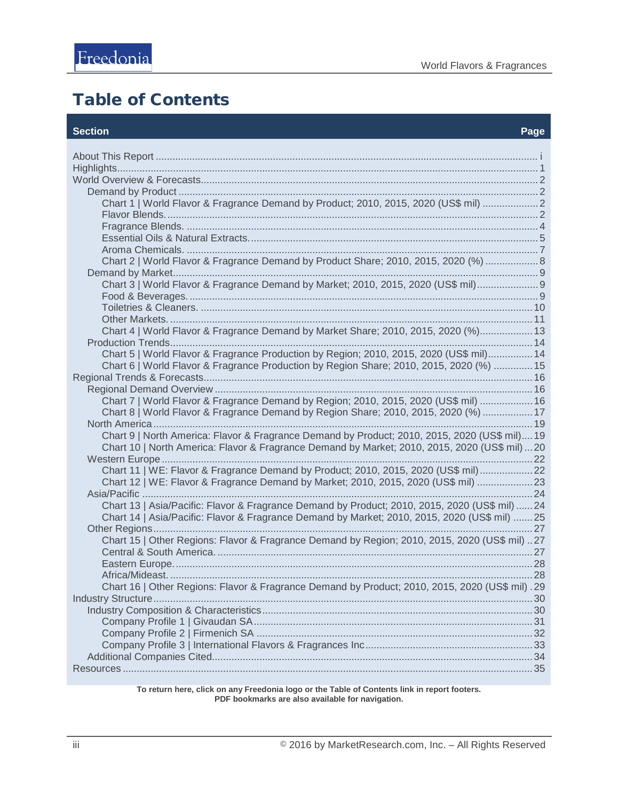# <span id="page-3-0"></span>Table of Contents

#### **Section Page**

| Chart 1   World Flavor & Fragrance Demand by Product; 2010, 2015, 2020 (US\$ mil)  2            |  |
|-------------------------------------------------------------------------------------------------|--|
|                                                                                                 |  |
|                                                                                                 |  |
|                                                                                                 |  |
|                                                                                                 |  |
| Chart 2   World Flavor & Fragrance Demand by Product Share; 2010, 2015, 2020 (%)  8             |  |
|                                                                                                 |  |
| Chart 3   World Flavor & Fragrance Demand by Market; 2010, 2015, 2020 (US\$ mil) 9              |  |
|                                                                                                 |  |
|                                                                                                 |  |
|                                                                                                 |  |
| Chart 4   World Flavor & Fragrance Demand by Market Share; 2010, 2015, 2020 (%) 13              |  |
|                                                                                                 |  |
| Chart 5   World Flavor & Fragrance Production by Region; 2010, 2015, 2020 (US\$ mil) 14         |  |
| Chart 6   World Flavor & Fragrance Production by Region Share; 2010, 2015, 2020 (%) 15          |  |
|                                                                                                 |  |
|                                                                                                 |  |
| Chart 7   World Flavor & Fragrance Demand by Region; 2010, 2015, 2020 (US\$ mil)  16            |  |
| Chart 8   World Flavor & Fragrance Demand by Region Share; 2010, 2015, 2020 (%)  17             |  |
|                                                                                                 |  |
| Chart 9   North America: Flavor & Fragrance Demand by Product; 2010, 2015, 2020 (US\$ mil) 19   |  |
| Chart 10   North America: Flavor & Fragrance Demand by Market; 2010, 2015, 2020 (US\$ mil)  20  |  |
|                                                                                                 |  |
| Chart 11   WE: Flavor & Fragrance Demand by Product; 2010, 2015, 2020 (US\$ mil) 22             |  |
| Chart 12   WE: Flavor & Fragrance Demand by Market; 2010, 2015, 2020 (US\$ mil) 23              |  |
|                                                                                                 |  |
| Chart 13   Asia/Pacific: Flavor & Fragrance Demand by Product; 2010, 2015, 2020 (US\$ mil)  24  |  |
| Chart 14   Asia/Pacific: Flavor & Fragrance Demand by Market; 2010, 2015, 2020 (US\$ mil) 25    |  |
|                                                                                                 |  |
| Chart 15   Other Regions: Flavor & Fragrance Demand by Region; 2010, 2015, 2020 (US\$ mil) 27   |  |
|                                                                                                 |  |
|                                                                                                 |  |
|                                                                                                 |  |
| Chart 16   Other Regions: Flavor & Fragrance Demand by Product; 2010, 2015, 2020 (US\$ mil) .29 |  |
|                                                                                                 |  |
|                                                                                                 |  |
|                                                                                                 |  |
|                                                                                                 |  |
|                                                                                                 |  |
|                                                                                                 |  |
|                                                                                                 |  |
|                                                                                                 |  |

**To return here, click on any Freedonia logo or the Table of Contents link in report footers. PDF bookmarks are also available for navigation.**